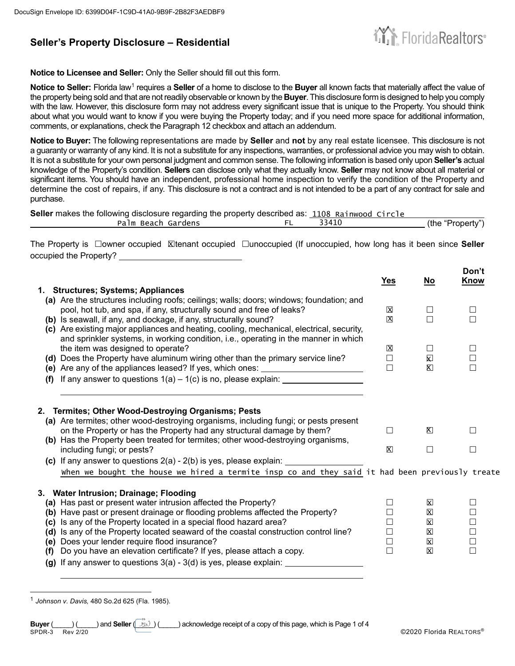## **Seller's Property Disclosure – Residential**



**Notice to Licensee and Seller:** Only the Seller should fill out this form.

**Notice to Seller:** Florida la[w1](#page--1-0) requires a **Seller** of a home to disclose to the **Buyer** all known facts that materially affect the value of the property being sold and that are not readily observable or known by the **Buyer**. This disclosure form is designed to help you comply with the law. However, this disclosure form may not address every significant issue that is unique to the Property. You should think about what you would want to know if you were buying the Property today; and if you need more space for additional information, comments, or explanations, check the Paragraph 12 checkbox and attach an addendum.

**Notice to Buyer:** The following representations are made by **Seller** and **not** by any real estate licensee. This disclosure is not a guaranty or warranty of any kind. It is not a substitute for any inspections, warranties, or professional advice you may wish to obtain. It is not a substitute for your own personal judgment and common sense. The following information is based only upon **Seller's** actual knowledge of the Property's condition. **Sellers** can disclose only what they actually know. **Seller** may not know about all material or significant items. You should have an independent, professional home inspection to verify the condition of the Property and determine the cost of repairs, if any. This disclosure is not a contract and is not intended to be a part of any contract for sale and purchase.

**Seller** makes the following disclosure regarding the property described as: <u>\_1108\_Ra<code>inwood\_Circle</code></u> (the "Property") Palm Beach Gardens FL 33410

The Property is □owner occupied 区tenant occupied □unoccupied (If unoccupied, how long has it been since **Seller** occupied the Property?

|            | 1. Structures; Systems; Appliances                                                                                                                                                                                                                                                                                                                                                                                                                                                                                                                                       | <u>Yes</u>                                          | <u>No</u>                                      | Don't<br>Know                             |
|------------|--------------------------------------------------------------------------------------------------------------------------------------------------------------------------------------------------------------------------------------------------------------------------------------------------------------------------------------------------------------------------------------------------------------------------------------------------------------------------------------------------------------------------------------------------------------------------|-----------------------------------------------------|------------------------------------------------|-------------------------------------------|
|            | (a) Are the structures including roofs; ceilings; walls; doors; windows; foundation; and<br>pool, hot tub, and spa, if any, structurally sound and free of leaks?<br>(b) Is seawall, if any, and dockage, if any, structurally sound?<br>(c) Are existing major appliances and heating, cooling, mechanical, electrical, security,<br>and sprinkler systems, in working condition, i.e., operating in the manner in which                                                                                                                                                | ⊠<br>$\overline{X}$                                 | $\Box$<br>$\Box$                               | $\Box$                                    |
|            | the item was designed to operate?                                                                                                                                                                                                                                                                                                                                                                                                                                                                                                                                        | $\boxtimes$                                         | $\Box$                                         | $\Box$                                    |
|            | (d) Does the Property have aluminum wiring other than the primary service line?<br>(e) Are any of the appliances leased? If yes, which ones: $\sqrt{2\pi}$                                                                                                                                                                                                                                                                                                                                                                                                               | $\Box$<br>$\Box$                                    | <b>Z</b><br>$\overline{K}$                     | $\Box$<br>П                               |
| (f)        | If any answer to questions $1(a) - 1(c)$ is no, please explain:                                                                                                                                                                                                                                                                                                                                                                                                                                                                                                          |                                                     |                                                |                                           |
|            | 2. Termites; Other Wood-Destroying Organisms; Pests<br>(a) Are termites; other wood-destroying organisms, including fungi; or pests present<br>on the Property or has the Property had any structural damage by them?<br>(b) Has the Property been treated for termites; other wood-destroying organisms,<br>including fungi; or pests?<br>(c) If any answer to questions $2(a) - 2(b)$ is yes, please explain: $\sqrt{\frac{2(b)}{1 - 2}}$<br>when we bought the house we hired a termite insp co and they said it had been previously treate                           | $\Box$<br> X                                        | <b>X</b><br>$\Box$                             | П<br>$\Box$                               |
| (c)<br>(f) | 3. Water Intrusion; Drainage; Flooding<br>(a) Has past or present water intrusion affected the Property?<br>(b) Have past or present drainage or flooding problems affected the Property?<br>Is any of the Property located in a special flood hazard area?<br>(d) Is any of the Property located seaward of the coastal construction control line?<br>(e) Does your lender require flood insurance?<br>Do you have an elevation certificate? If yes, please attach a copy.<br>(g) If any answer to questions $3(a)$ - $3(d)$ is yes, please explain: $\frac{1}{2(a-1)}$ | Ш<br>$\Box$<br>$\Box$<br>$\Box$<br>$\Box$<br>$\Box$ | ⊠<br>X<br>$\mathsf X$<br>$\boxtimes$<br>⊠<br>X | □<br>$\Box$<br>$\Box$<br>$\Box$<br>$\Box$ |

<sup>1</sup> *Johnson v. Davis,* 480 So.2d 625 (Fla. 1985).

**Buyer (ellipse 1)** and **Seller**  $(\underbrace{\Box\Box\Diamond})$  (ellipse 1) acknowledge receipt of a copy of this page, which is Page 1 of 4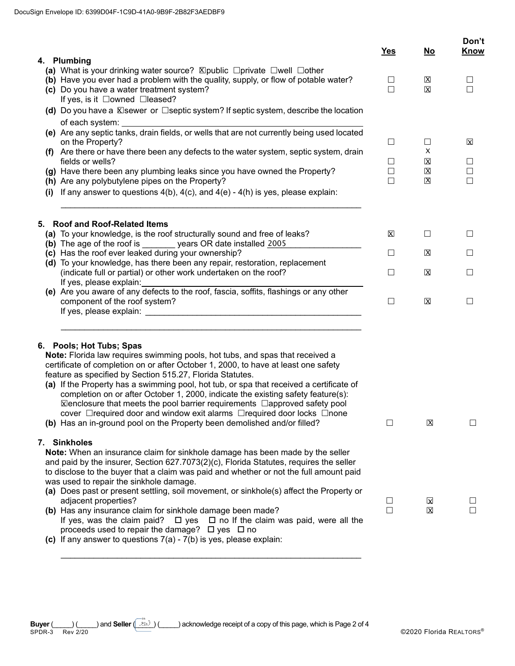|                                                                                                                                                                                                                                                                                                                                                                                                                                                                                                                                                                                                                                                                                                                                           | <u>Yes</u>                      | <u>No</u>                                             | Don't<br><b>Know</b>            |
|-------------------------------------------------------------------------------------------------------------------------------------------------------------------------------------------------------------------------------------------------------------------------------------------------------------------------------------------------------------------------------------------------------------------------------------------------------------------------------------------------------------------------------------------------------------------------------------------------------------------------------------------------------------------------------------------------------------------------------------------|---------------------------------|-------------------------------------------------------|---------------------------------|
| 4. Plumbing<br>(a) What is your drinking water source? $\boxtimes$ public $\Box$ private $\Box$ well $\Box$ other<br>(b) Have you ever had a problem with the quality, supply, or flow of potable water?<br>(c) Do you have a water treatment system?<br>If yes, is it □ owned □ leased?                                                                                                                                                                                                                                                                                                                                                                                                                                                  | $\Box$<br>$\Box$                | $\boxtimes$<br>$\overline{\mathsf{X}}$                | $\Box$<br>П                     |
| (d) Do you have a $\mathbb Z$ sewer or $\Box$ septic system? If septic system, describe the location<br>of each system:                                                                                                                                                                                                                                                                                                                                                                                                                                                                                                                                                                                                                   |                                 |                                                       |                                 |
| (e) Are any septic tanks, drain fields, or wells that are not currently being used located<br>on the Property?<br>(f) Are there or have there been any defects to the water system, septic system, drain<br>fields or wells?<br>(g) Have there been any plumbing leaks since you have owned the Property?<br>(h) Are any polybutylene pipes on the Property?<br>If any answer to questions $4(b)$ , $4(c)$ , and $4(e)$ - $4(h)$ is yes, please explain:<br>(i)                                                                                                                                                                                                                                                                           | ⊔<br>$\Box$<br>$\Box$<br>$\Box$ | $\Box$<br>X<br>X<br>$\boxtimes$<br>$\mathsf{X}% _{0}$ | X<br>$\Box$<br>$\Box$<br>$\Box$ |
| 5. Roof and Roof-Related Items<br>(a) To your knowledge, is the roof structurally sound and free of leaks?<br>(b) The age of the roof is years OR date installed 2005                                                                                                                                                                                                                                                                                                                                                                                                                                                                                                                                                                     | ⊠                               | $\Box$                                                | □                               |
| (c) Has the roof ever leaked during your ownership?                                                                                                                                                                                                                                                                                                                                                                                                                                                                                                                                                                                                                                                                                       | Ш                               | $\boxtimes$                                           | $\Box$                          |
| (d) To your knowledge, has there been any repair, restoration, replacement<br>(indicate full or partial) or other work undertaken on the roof?<br>If yes, please explain:                                                                                                                                                                                                                                                                                                                                                                                                                                                                                                                                                                 | $\Box$                          | ⊠                                                     | П                               |
| (e) Are you aware of any defects to the roof, fascia, soffits, flashings or any other<br>component of the roof system?<br>If yes, please explain:                                                                                                                                                                                                                                                                                                                                                                                                                                                                                                                                                                                         | $\Box$                          | $\mathbf X$                                           | П                               |
| 6. Pools; Hot Tubs; Spas<br>Note: Florida law requires swimming pools, hot tubs, and spas that received a<br>certificate of completion on or after October 1, 2000, to have at least one safety<br>feature as specified by Section 515.27, Florida Statutes.<br>(a) If the Property has a swimming pool, hot tub, or spa that received a certificate of<br>completion on or after October 1, 2000, indicate the existing safety feature(s):<br>$\boxtimes$ enclosure that meets the pool barrier requirements $\Box$ approved safety pool<br>cover □ required door and window exit alarms □ required door locks □ none<br>(b) Has an in-ground pool on the Property been demolished and/or filled?                                        | $\Box$                          | $\mathsf{X}$                                          | П                               |
| 7. Sinkholes<br>Note: When an insurance claim for sinkhole damage has been made by the seller<br>and paid by the insurer, Section 627.7073(2)(c), Florida Statutes, requires the seller<br>to disclose to the buyer that a claim was paid and whether or not the full amount paid<br>was used to repair the sinkhole damage.<br>(a) Does past or present settling, soil movement, or sinkhole(s) affect the Property or<br>adjacent properties?<br>(b) Has any insurance claim for sinkhole damage been made?<br>If yes, was the claim paid? $\Box$ yes $\Box$ no If the claim was paid, were all the<br>proceeds used to repair the damage? $\Box$ yes $\Box$ no<br>(c) If any answer to questions $7(a) - 7(b)$ is yes, please explain: | ⊔<br>П                          | ⊠<br>⊠                                                |                                 |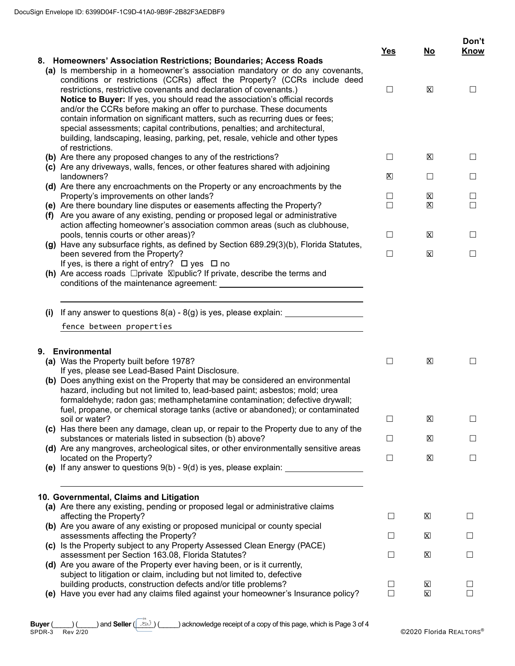|     |                                                                                                                                                                                                                                                                                                                                                                                                                                                                                                                                                                                                                                                                                                                              | <u>Yes</u>       | <u>No</u>                                                                                                        | Don't<br><b>Know</b> |
|-----|------------------------------------------------------------------------------------------------------------------------------------------------------------------------------------------------------------------------------------------------------------------------------------------------------------------------------------------------------------------------------------------------------------------------------------------------------------------------------------------------------------------------------------------------------------------------------------------------------------------------------------------------------------------------------------------------------------------------------|------------------|------------------------------------------------------------------------------------------------------------------|----------------------|
|     | 8. Homeowners' Association Restrictions; Boundaries; Access Roads<br>(a) Is membership in a homeowner's association mandatory or do any covenants,<br>conditions or restrictions (CCRs) affect the Property? (CCRs include deed<br>restrictions, restrictive covenants and declaration of covenants.)<br>Notice to Buyer: If yes, you should read the association's official records<br>and/or the CCRs before making an offer to purchase. These documents<br>contain information on significant matters, such as recurring dues or fees;<br>special assessments; capital contributions, penalties; and architectural,<br>building, landscaping, leasing, parking, pet, resale, vehicle and other types<br>of restrictions. | □                | X                                                                                                                | $\Box$               |
|     | (b) Are there any proposed changes to any of the restrictions?                                                                                                                                                                                                                                                                                                                                                                                                                                                                                                                                                                                                                                                               | $\Box$           | $\mathsf{X}% _{0}^{X\rightarrow\mathsf{X}}\xrightarrow{\mathsf{X}_{0}}\mathsf{X}_{1}^{X\rightarrow\mathsf{X}% }$ | $\Box$               |
|     | (c) Are any driveways, walls, fences, or other features shared with adjoining<br>landowners?                                                                                                                                                                                                                                                                                                                                                                                                                                                                                                                                                                                                                                 | X                | $\Box$                                                                                                           | ப                    |
|     | (d) Are there any encroachments on the Property or any encroachments by the                                                                                                                                                                                                                                                                                                                                                                                                                                                                                                                                                                                                                                                  |                  |                                                                                                                  |                      |
|     | Property's improvements on other lands?<br>(e) Are there boundary line disputes or easements affecting the Property?                                                                                                                                                                                                                                                                                                                                                                                                                                                                                                                                                                                                         | $\Box$<br>$\Box$ | $\boxtimes$<br>囟                                                                                                 | $\Box$<br>$\Box$     |
|     | (f) Are you aware of any existing, pending or proposed legal or administrative                                                                                                                                                                                                                                                                                                                                                                                                                                                                                                                                                                                                                                               |                  |                                                                                                                  |                      |
|     | action affecting homeowner's association common areas (such as clubhouse,<br>pools, tennis courts or other areas)?                                                                                                                                                                                                                                                                                                                                                                                                                                                                                                                                                                                                           |                  | X                                                                                                                |                      |
|     | (g) Have any subsurface rights, as defined by Section 689.29(3)(b), Florida Statutes,                                                                                                                                                                                                                                                                                                                                                                                                                                                                                                                                                                                                                                        | $\Box$           |                                                                                                                  | $\Box$               |
|     | been severed from the Property?                                                                                                                                                                                                                                                                                                                                                                                                                                                                                                                                                                                                                                                                                              | $\Box$           | $\boxtimes$                                                                                                      | □                    |
|     | If yes, is there a right of entry? $\Box$ yes $\Box$ no<br>(h) Are access roads $\Box$ private $\boxtimes$ public? If private, describe the terms and<br>conditions of the maintenance agreement:<br><u> 1989 - John Stein, Amerikaansk politiker (</u>                                                                                                                                                                                                                                                                                                                                                                                                                                                                      |                  |                                                                                                                  |                      |
| (i) | If any answer to questions $8(a) - 8(g)$ is yes, please explain: $\sqrt{2(1 - 1)^2 + 1/2}$                                                                                                                                                                                                                                                                                                                                                                                                                                                                                                                                                                                                                                   |                  |                                                                                                                  |                      |
|     | fence between properties                                                                                                                                                                                                                                                                                                                                                                                                                                                                                                                                                                                                                                                                                                     |                  |                                                                                                                  |                      |
|     |                                                                                                                                                                                                                                                                                                                                                                                                                                                                                                                                                                                                                                                                                                                              |                  |                                                                                                                  |                      |
|     | 9. Environmental                                                                                                                                                                                                                                                                                                                                                                                                                                                                                                                                                                                                                                                                                                             |                  |                                                                                                                  |                      |
|     | (a) Was the Property built before 1978?<br>If yes, please see Lead-Based Paint Disclosure.                                                                                                                                                                                                                                                                                                                                                                                                                                                                                                                                                                                                                                   | $\Box$           | $\boxtimes$                                                                                                      | $\Box$               |
|     | (b) Does anything exist on the Property that may be considered an environmental<br>hazard, including but not limited to, lead-based paint; asbestos; mold; urea<br>formaldehyde; radon gas; methamphetamine contamination; defective drywall;<br>fuel, propane, or chemical storage tanks (active or abandoned); or contaminated                                                                                                                                                                                                                                                                                                                                                                                             |                  |                                                                                                                  |                      |
|     | soil or water?                                                                                                                                                                                                                                                                                                                                                                                                                                                                                                                                                                                                                                                                                                               | □                | $\boxtimes$                                                                                                      | $\Box$               |
|     | (c) Has there been any damage, clean up, or repair to the Property due to any of the<br>substances or materials listed in subsection (b) above?                                                                                                                                                                                                                                                                                                                                                                                                                                                                                                                                                                              | $\Box$           | $\boxtimes$                                                                                                      | ப                    |
|     | (d) Are any mangroves, archeological sites, or other environmentally sensitive areas                                                                                                                                                                                                                                                                                                                                                                                                                                                                                                                                                                                                                                         |                  |                                                                                                                  |                      |
|     | located on the Property?<br>(e) If any answer to questions $9(b) - 9(d)$ is yes, please explain:                                                                                                                                                                                                                                                                                                                                                                                                                                                                                                                                                                                                                             | □                | X                                                                                                                | □                    |
|     |                                                                                                                                                                                                                                                                                                                                                                                                                                                                                                                                                                                                                                                                                                                              |                  |                                                                                                                  |                      |
|     | 10. Governmental, Claims and Litigation                                                                                                                                                                                                                                                                                                                                                                                                                                                                                                                                                                                                                                                                                      |                  |                                                                                                                  |                      |
|     | (a) Are there any existing, pending or proposed legal or administrative claims                                                                                                                                                                                                                                                                                                                                                                                                                                                                                                                                                                                                                                               |                  |                                                                                                                  |                      |
|     | affecting the Property?                                                                                                                                                                                                                                                                                                                                                                                                                                                                                                                                                                                                                                                                                                      | $\Box$           | ⊠                                                                                                                | ΙI                   |
|     | (b) Are you aware of any existing or proposed municipal or county special<br>assessments affecting the Property?                                                                                                                                                                                                                                                                                                                                                                                                                                                                                                                                                                                                             | $\Box$           | X                                                                                                                | $\mathsf{L}$         |
|     | (c) Is the Property subject to any Property Assessed Clean Energy (PACE)                                                                                                                                                                                                                                                                                                                                                                                                                                                                                                                                                                                                                                                     |                  |                                                                                                                  |                      |
|     | assessment per Section 163.08, Florida Statutes?<br>(d) Are you aware of the Property ever having been, or is it currently,                                                                                                                                                                                                                                                                                                                                                                                                                                                                                                                                                                                                  | $\Box$           | $\boxtimes$                                                                                                      | Ш                    |
|     | subject to litigation or claim, including but not limited to, defective                                                                                                                                                                                                                                                                                                                                                                                                                                                                                                                                                                                                                                                      |                  |                                                                                                                  |                      |
|     | building products, construction defects and/or title problems?                                                                                                                                                                                                                                                                                                                                                                                                                                                                                                                                                                                                                                                               | $\Box$           | $\boxtimes$                                                                                                      |                      |
|     | (e) Have you ever had any claims filed against your homeowner's Insurance policy?                                                                                                                                                                                                                                                                                                                                                                                                                                                                                                                                                                                                                                            | $\Box$           | $\boxtimes$                                                                                                      | $\Box$               |

**Buyer** (\_\_\_\_\_) (\_\_\_\_\_) and **Seller** (\_\_\_\_\_) (\_\_\_\_\_) acknowledge receipt of a copy of this page, which is Page 3 of 4 **Buyer** (<u>Come )</u> (Come ) and **Seller** ( $\frac{cos}{2020}$ ) (Come ) acknowledge receipt of a copy of this page, which is Page 3 of 4<br>SPDR-3 Rev 2/20 Florida REALTORS®